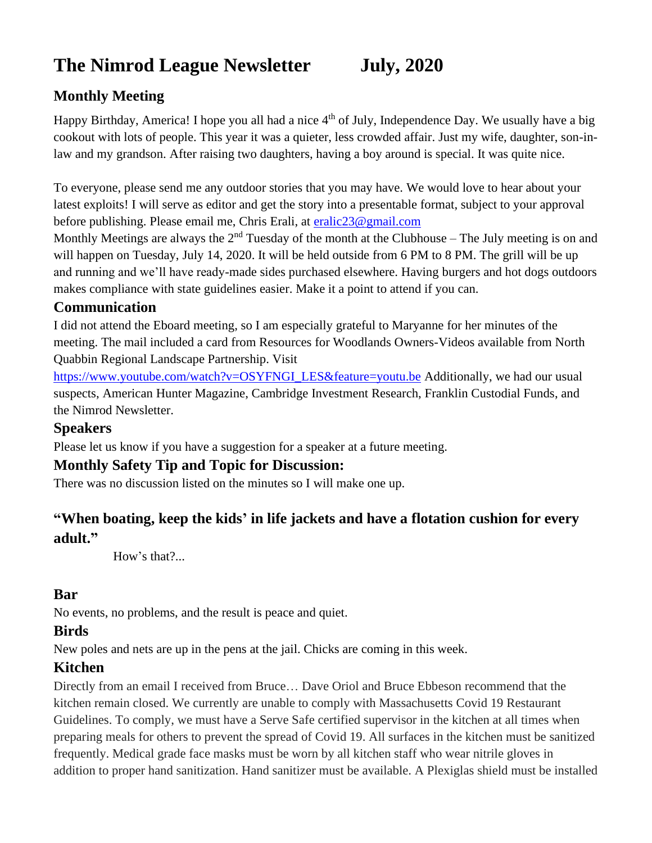# **The Nimrod League Newsletter July, 2020**

### **Monthly Meeting**

Happy Birthday, America! I hope you all had a nice  $4<sup>th</sup>$  of July, Independence Day. We usually have a big cookout with lots of people. This year it was a quieter, less crowded affair. Just my wife, daughter, son-inlaw and my grandson. After raising two daughters, having a boy around is special. It was quite nice.

To everyone, please send me any outdoor stories that you may have. We would love to hear about your latest exploits! I will serve as editor and get the story into a presentable format, subject to your approval before publishing. Please email me, Chris Erali, at [eralic23@gmail.com](mailto:eralic23@gmail.com)

Monthly Meetings are always the  $2<sup>nd</sup>$  Tuesday of the month at the Clubhouse – The July meeting is on and will happen on Tuesday, July 14, 2020. It will be held outside from 6 PM to 8 PM. The grill will be up and running and we'll have ready-made sides purchased elsewhere. Having burgers and hot dogs outdoors makes compliance with state guidelines easier. Make it a point to attend if you can.

#### **Communication**

I did not attend the Eboard meeting, so I am especially grateful to Maryanne for her minutes of the meeting. The mail included a card from Resources for Woodlands Owners-Videos available from North Quabbin Regional Landscape Partnership. Visit

[https://www.youtube.com/watch?v=OSYFNGI\\_LES&feature=youtu.be](https://www.youtube.com/watch?v=OSYFNGI_LES&feature=youtu.be) Additionally, we had our usual suspects, American Hunter Magazine, Cambridge Investment Research, Franklin Custodial Funds, and the Nimrod Newsletter.

#### **Speakers**

Please let us know if you have a suggestion for a speaker at a future meeting.

#### **Monthly Safety Tip and Topic for Discussion:**

There was no discussion listed on the minutes so I will make one up.

### **"When boating, keep the kids' in life jackets and have a flotation cushion for every adult."**

How's that?...

#### **Bar**

No events, no problems, and the result is peace and quiet.

#### **Birds**

New poles and nets are up in the pens at the jail. Chicks are coming in this week.

#### **Kitchen**

Directly from an email I received from Bruce… Dave Oriol and Bruce Ebbeson recommend that the kitchen remain closed. We currently are unable to comply with Massachusetts Covid 19 Restaurant Guidelines. To comply, we must have a Serve Safe certified supervisor in the kitchen at all times when preparing meals for others to prevent the spread of Covid 19. All surfaces in the kitchen must be sanitized frequently. Medical grade face masks must be worn by all kitchen staff who wear nitrile gloves in addition to proper hand sanitization. Hand sanitizer must be available. A Plexiglas shield must be installed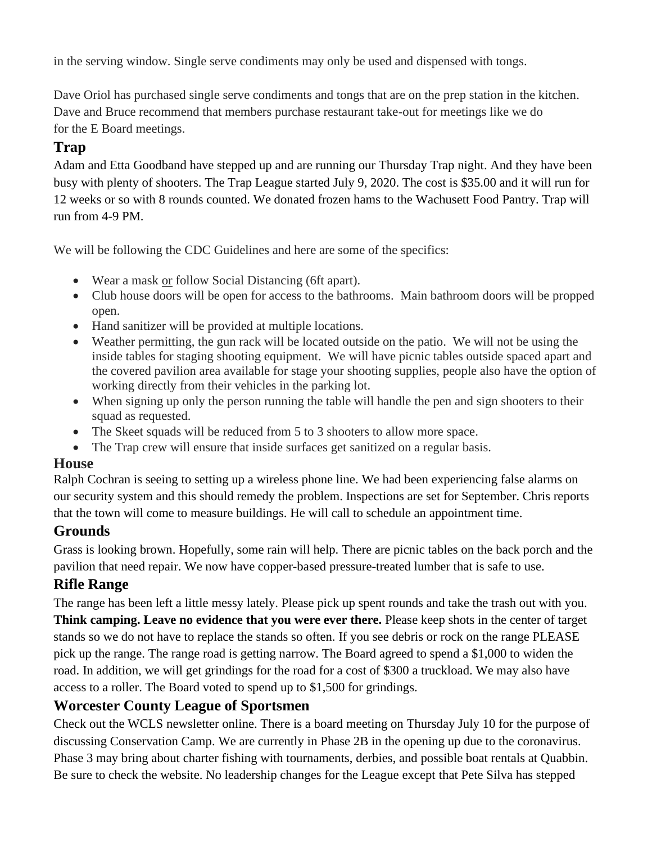in the serving window. Single serve condiments may only be used and dispensed with tongs.

Dave Oriol has purchased single serve condiments and tongs that are on the prep station in the kitchen. Dave and Bruce recommend that members purchase restaurant take-out for meetings like we do for the E Board meetings.

### **Trap**

Adam and Etta Goodband have stepped up and are running our Thursday Trap night. And they have been busy with plenty of shooters. The Trap League started July 9, 2020. The cost is \$35.00 and it will run for 12 weeks or so with 8 rounds counted. We donated frozen hams to the Wachusett Food Pantry. Trap will run from 4-9 PM.

We will be following the CDC Guidelines and here are some of the specifics:

- Wear a mask or follow Social Distancing (6ft apart).
- Club house doors will be open for access to the bathrooms. Main bathroom doors will be propped open.
- Hand sanitizer will be provided at multiple locations.
- Weather permitting, the gun rack will be located outside on the patio. We will not be using the inside tables for staging shooting equipment. We will have picnic tables outside spaced apart and the covered pavilion area available for stage your shooting supplies, people also have the option of working directly from their vehicles in the parking lot.
- When signing up only the person running the table will handle the pen and sign shooters to their squad as requested.
- The Skeet squads will be reduced from 5 to 3 shooters to allow more space.
- The Trap crew will ensure that inside surfaces get sanitized on a regular basis.

#### **House**

Ralph Cochran is seeing to setting up a wireless phone line. We had been experiencing false alarms on our security system and this should remedy the problem. Inspections are set for September. Chris reports that the town will come to measure buildings. He will call to schedule an appointment time.

#### **Grounds**

Grass is looking brown. Hopefully, some rain will help. There are picnic tables on the back porch and the pavilion that need repair. We now have copper-based pressure-treated lumber that is safe to use.

# **Rifle Range**

The range has been left a little messy lately. Please pick up spent rounds and take the trash out with you. **Think camping. Leave no evidence that you were ever there.** Please keep shots in the center of target stands so we do not have to replace the stands so often. If you see debris or rock on the range PLEASE pick up the range. The range road is getting narrow. The Board agreed to spend a \$1,000 to widen the road. In addition, we will get grindings for the road for a cost of \$300 a truckload. We may also have access to a roller. The Board voted to spend up to \$1,500 for grindings.

#### **Worcester County League of Sportsmen**

Check out the WCLS newsletter online. There is a board meeting on Thursday July 10 for the purpose of discussing Conservation Camp. We are currently in Phase 2B in the opening up due to the coronavirus. Phase 3 may bring about charter fishing with tournaments, derbies, and possible boat rentals at Quabbin. Be sure to check the website. No leadership changes for the League except that Pete Silva has stepped